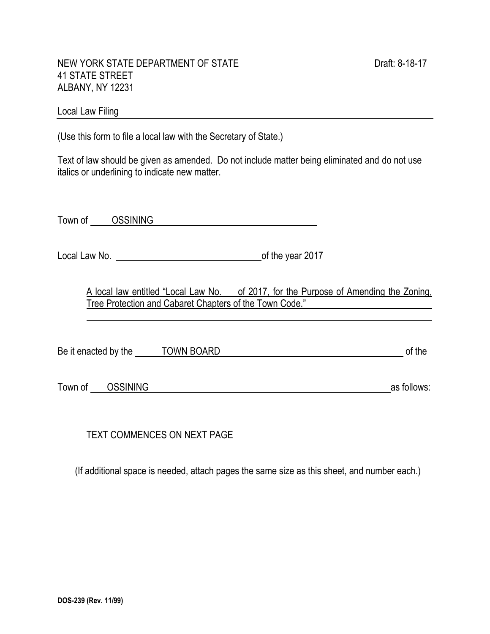#### NEW YORK STATE DEPARTMENT OF STATE DEALL ASSESSED FOR DRAFT 8-18-17 41 STATE STREET ALBANY, NY 12231

# Local Law Filing **Example 20** No. 2014 19:30 19:30 19:30 19:30 19:30 19:30 19:30 19:30 19:30 19:30 19:30 19:30 19:30 19:30 19:30 19:30 19:30 19:30 19:30 19:30 19:30 19:30 19:30 19:30 19:30 19:30 19:30 19:30 19:30 19:30 19:

(Use this form to file a local law with the Secretary of State.)

Text of law should be given as amended. Do not include matter being eliminated and do not use italics or underlining to indicate new matter.

Town of GSSINING CONSTRUCTED AND TOWN OF THE ONLY A VEHICLE STATES OF THE ONLY A VEHICLE STATES OF THE ONLY A VEHICLE STATES OF THE ONLY A VEHICLE STATES OF THE ONLY A VEHICLE STATES OF THE ONLY A VEHICLE STATES OF THE ONL

Local Law No. <u>contains the year 2017</u>

A local law entitled "Local Law No. of 2017, for the Purpose of Amending the Zoning, Tree Protection and Cabaret Chapters of the Town Code."

Be it enacted by the TOWN BOARD of the Second Second Second Second Second Second Second Second Second Second Second Second Second Second Second Second Second Second Second Second Second Second Second Second Second Second S

Town of CSSINING as follows:

TEXT COMMENCES ON NEXT PAGE

(If additional space is needed, attach pages the same size as this sheet, and number each.)

l.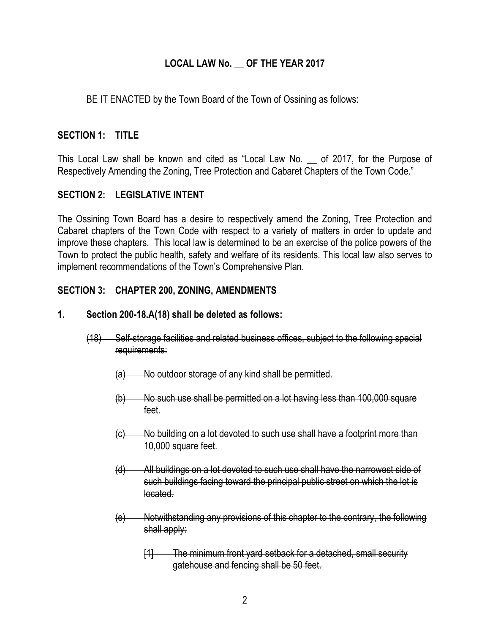# **LOCAL LAW No. \_\_ OF THE YEAR 2017**

BE IT ENACTED by the Town Board of the Town of Ossining as follows:

### **SECTION 1: TITLE**

This Local Law shall be known and cited as "Local Law No. \_\_ of 2017, for the Purpose of Respectively Amending the Zoning, Tree Protection and Cabaret Chapters of the Town Code."

# **SECTION 2: LEGISLATIVE INTENT**

The Ossining Town Board has a desire to respectively amend the Zoning, Tree Protection and Cabaret chapters of the Town Code with respect to a variety of matters in order to update and improve these chapters. This local law is determined to be an exercise of the police powers of the Town to protect the public health, safety and welfare of its residents. This local law also serves to implement recommendations of the Town's Comprehensive Plan.

### **SECTION 3: CHAPTER 200, ZONING, AMENDMENTS**

#### **1. Section 200-18.A(18) shall be deleted as follows:**

- (18) Self-storage facilities and related business offices, subject to the following special requirements:
	- (a) No outdoor storage of any kind shall be permitted.
	- (b) No such use shall be permitted on a lot having less than 100,000 square feet.
	- (c) No building on a lot devoted to such use shall have a footprint more than 10,000 square feet.
	- (d) All buildings on a lot devoted to such use shall have the narrowest side of such buildings facing toward the principal public street on which the lot is located.
	- (e) Notwithstanding any provisions of this chapter to the contrary, the following shall apply:
		- [1] The minimum front yard setback for a detached, small security gatehouse and fencing shall be 50 feet.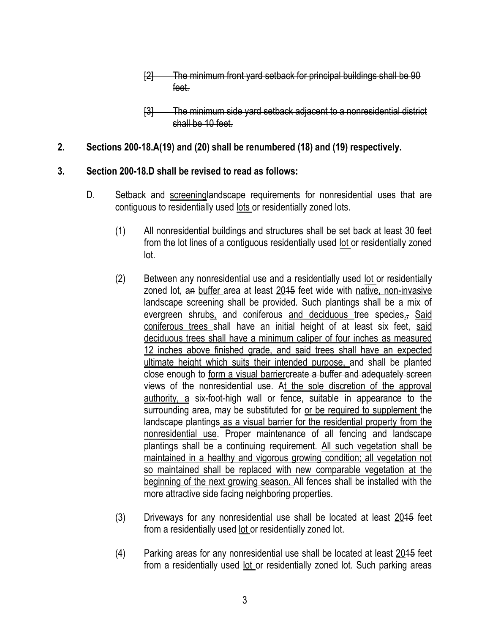- [2] The minimum front yard setback for principal buildings shall be 90 feet.
- [3] The minimum side yard setback adjacent to a nonresidential district shall be 10 feet.

### **2. Sections 200-18.A(19) and (20) shall be renumbered (18) and (19) respectively.**

### **3. Section 200-18.D shall be revised to read as follows:**

- D. Setback and screeninglandscape requirements for nonresidential uses that are contiguous to residentially used lots or residentially zoned lots.
	- (1) All nonresidential buildings and structures shall be set back at least 30 feet from the lot lines of a contiguous residentially used lot or residentially zoned lot.
	- (2) Between any nonresidential use and a residentially used lot or residentially zoned lot, an buffer area at least 2015 feet wide with native, non-invasive landscape screening shall be provided. Such plantings shall be a mix of evergreen shrubs, and coniferous and deciduous tree species., Said coniferous trees shall have an initial height of at least six feet, said deciduous trees shall have a minimum caliper of four inches as measured 12 inches above finished grade, and said trees shall have an expected ultimate height which suits their intended purpose, and shall be planted close enough to form a visual barriercreate a buffer and adequately screen views of the nonresidential use. At the sole discretion of the approval authority, a six-foot-high wall or fence, suitable in appearance to the surrounding area, may be substituted for or be required to supplement the landscape plantings as a visual barrier for the residential property from the nonresidential use. Proper maintenance of all fencing and landscape plantings shall be a continuing requirement. All such vegetation shall be maintained in a healthy and vigorous growing condition; all vegetation not so maintained shall be replaced with new comparable vegetation at the beginning of the next growing season. All fences shall be installed with the more attractive side facing neighboring properties.
	- $(3)$  Driveways for any nonresidential use shall be located at least  $2015$  feet from a residentially used lot or residentially zoned lot.
	- $(4)$  Parking areas for any nonresidential use shall be located at least  $2015$  feet from a residentially used lot or residentially zoned lot. Such parking areas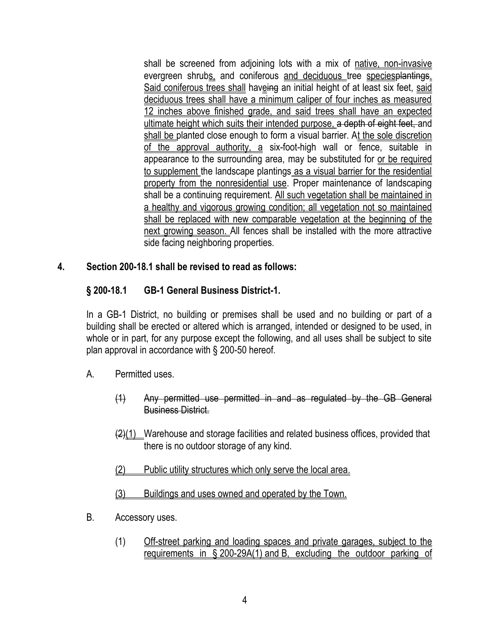shall be screened from adjoining lots with a mix of native, non-invasive evergreen shrubs, and coniferous and deciduous tree species plantings. Said coniferous trees shall haveing an initial height of at least six feet, said deciduous trees shall have a minimum caliper of four inches as measured 12 inches above finished grade, and said trees shall have an expected ultimate height which suits their intended purpose, a depth of eight feet, and shall be planted close enough to form a visual barrier. At the sole discretion of the approval authority, a six-foot-high wall or fence, suitable in appearance to the surrounding area, may be substituted for or be required to supplement the landscape plantings as a visual barrier for the residential property from the nonresidential use. Proper maintenance of landscaping shall be a continuing requirement. All such vegetation shall be maintained in a healthy and vigorous growing condition; all vegetation not so maintained shall be replaced with new comparable vegetation at the beginning of the next growing season. All fences shall be installed with the more attractive side facing neighboring properties.

### **4. Section 200-18.1 shall be revised to read as follows:**

# **§ [200-18.1](http://www.ecode360.com/8410865#8410865) [GB-1 General Business District-1.](http://www.ecode360.com/8410865#8410865)**

In a GB-1 District, no building or premises shall be used and no building or part of a building shall be erected or altered which is arranged, intended or designed to be used, in whole or in part, for any purpose except the following, and all uses shall be subject to site plan approval in accordance with § [200-50](http://www.ecode360.com/8411347#8411347) hereof.

- A. Permitted uses.
	- (1) Any permitted use permitted in and as regulated by the GB General Business District.
	- $\left(\frac{2}{1}\right)$  Warehouse and storage facilities and related business offices, provided that there is no outdoor storage of any kind.
	- (2) Public utility structures which only serve the local area.
	- (3) Buildings and uses owned and operated by the Town.
- [B.](http://www.ecode360.com/8410869#8410869) Accessory uses.
	- (1) Off-street parking and loading spaces and private garages, subject to the requirements in § [200-29A\(1\)](http://www.ecode360.com/8411069#8411069) and [B,](http://www.ecode360.com/8411083#8411083) excluding the outdoor parking of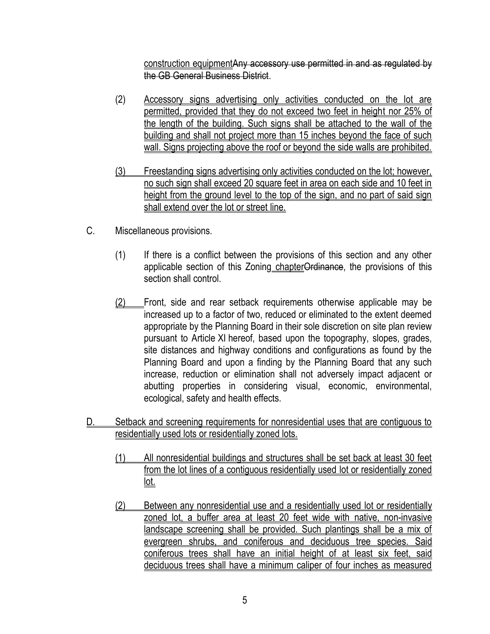construction equipmentAny accessory use permitted in and as regulated by the GB General Business District.

- (2) Accessory signs advertising only activities conducted on the lot are permitted, provided that they do not exceed two feet in height nor 25% of the length of the building. Such signs shall be attached to the wall of the building and shall not project more than 15 inches beyond the face of such wall. Signs projecting above the roof or beyond the side walls are prohibited.
- (3) Freestanding signs advertising only activities conducted on the lot; however, no such sign shall exceed 20 square feet in area on each side and 10 feet in height from the ground level to the top of the sign, and no part of said sign shall extend over the lot or street line.
- C. Miscellaneous provisions.
	- (1) If there is a conflict between the provisions of this section and any other applicable section of this Zoning chapterOrdinance, the provisions of this section shall control.
	- (2) Front, side and rear setback requirements otherwise applicable may be increased up to a factor of two, reduced or eliminated to the extent deemed appropriate by the Planning Board in their sole discretion on site plan review pursuant to Article [XI](http://www.ecode360.com/8411324#8411324) hereof, based upon the topography, slopes, grades, site distances and highway conditions and configurations as found by the Planning Board and upon a finding by the Planning Board that any such increase, reduction or elimination shall not adversely impact adjacent or abutting properties in considering visual, economic, environmental, ecological, safety and health effects.
- D. Setback and screening requirements for nonresidential uses that are contiguous to residentially used lots or residentially zoned lots.
	- (1) All nonresidential buildings and structures shall be set back at least 30 feet from the lot lines of a contiguous residentially used lot or residentially zoned lot.
	- (2) Between any nonresidential use and a residentially used lot or residentially zoned lot, a buffer area at least 20 feet wide with native, non-invasive landscape screening shall be provided. Such plantings shall be a mix of evergreen shrubs, and coniferous and deciduous tree species. Said coniferous trees shall have an initial height of at least six feet, said deciduous trees shall have a minimum caliper of four inches as measured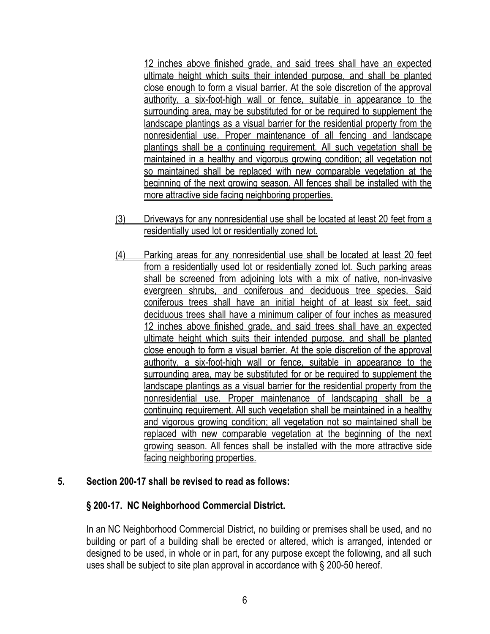12 inches above finished grade, and said trees shall have an expected ultimate height which suits their intended purpose, and shall be planted close enough to form a visual barrier. At the sole discretion of the approval authority, a six-foot-high wall or fence, suitable in appearance to the surrounding area, may be substituted for or be required to supplement the landscape plantings as a visual barrier for the residential property from the nonresidential use. Proper maintenance of all fencing and landscape plantings shall be a continuing requirement. All such vegetation shall be maintained in a healthy and vigorous growing condition; all vegetation not so maintained shall be replaced with new comparable vegetation at the beginning of the next growing season. All fences shall be installed with the more attractive side facing neighboring properties.

- (3) Driveways for any nonresidential use shall be located at least 20 feet from a residentially used lot or residentially zoned lot.
- (4) Parking areas for any nonresidential use shall be located at least 20 feet from a residentially used lot or residentially zoned lot. Such parking areas shall be screened from adjoining lots with a mix of native, non-invasive evergreen shrubs, and coniferous and deciduous tree species. Said coniferous trees shall have an initial height of at least six feet, said deciduous trees shall have a minimum caliper of four inches as measured 12 inches above finished grade, and said trees shall have an expected ultimate height which suits their intended purpose, and shall be planted close enough to form a visual barrier. At the sole discretion of the approval authority, a six-foot-high wall or fence, suitable in appearance to the surrounding area, may be substituted for or be required to supplement the landscape plantings as a visual barrier for the residential property from the nonresidential use. Proper maintenance of landscaping shall be a continuing requirement. All such vegetation shall be maintained in a healthy and vigorous growing condition; all vegetation not so maintained shall be replaced with new comparable vegetation at the beginning of the next growing season. All fences shall be installed with the more attractive side facing neighboring properties.

# **5. Section 200-17 shall be revised to read as follows:**

# **§ 200-17. [NC Neighborhood Commercial District.](http://www.ecode360.com/8410865#8410778)**

In an NC Neighborhood Commercial District, no building or premises shall be used, and no building or part of a building shall be erected or altered, which is arranged, intended or designed to be used, in whole or in part, for any purpose except the following, and all such uses shall be subject to site plan approval in accordance with § [200-50](http://www.ecode360.com/8411347#8411347) hereof.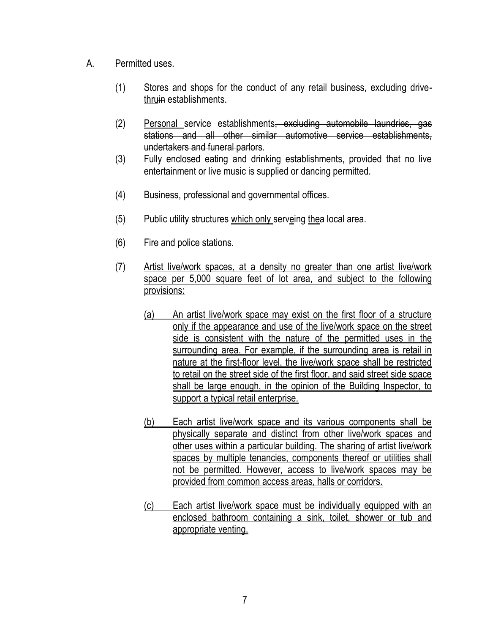- A. Permitted uses.
	- (1) Stores and shops for the conduct of any retail business, excluding drivethruin establishments.
	- (2) Personal service establishments<del>, excluding automobile laundries, gas</del> stations and all other similar automotive service establishments, undertakers and funeral parlors.
	- (3) Fully enclosed eating and drinking establishments, provided that no live entertainment or live music is supplied or dancing permitted.
	- (4) Business, professional and governmental offices.
	- (5) Public utility structures which only serveing the alocal area.
	- (6) Fire and police stations.
	- (7) Artist live/work spaces, at a density no greater than one artist live/work space per 5,000 square feet of lot area, and subject to the following provisions:
		- (a) An artist live/work space may exist on the first floor of a structure only if the appearance and use of the live/work space on the street side is consistent with the nature of the permitted uses in the surrounding area. For example, if the surrounding area is retail in nature at the first-floor level, the live/work space shall be restricted to retail on the street side of the first floor, and said street side space shall be large enough, in the opinion of the Building Inspector, to support a typical retail enterprise.
		- (b) Each artist live/work space and its various components shall be physically separate and distinct from other live/work spaces and other uses within a particular building. The sharing of artist live/work spaces by multiple tenancies, components thereof or utilities shall not be permitted. However, access to live/work spaces may be provided from common access areas, halls or corridors.
		- (c) Each artist live/work space must be individually equipped with an enclosed bathroom containing a sink, toilet, shower or tub and appropriate venting.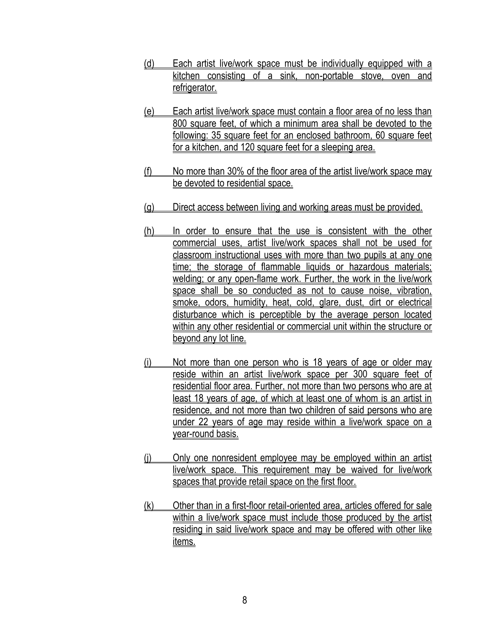- [\(d\)](http://www.ecode360.com/7066515#7066515) Each artist live/work space must be individually equipped with a kitchen consisting of a sink, non-portable stove, oven and refrigerator.
- [\(e\)](http://www.ecode360.com/7066516#7066516) Each artist live/work space must contain a floor area of no less than 800 square feet, of which a minimum area shall be devoted to the following: 35 square feet for an enclosed bathroom, 60 square feet for a kitchen, and 120 square feet for a sleeping area.
- [\(f\)](http://www.ecode360.com/7066517#7066517) No more than 30% of the floor area of the artist live/work space may be devoted to residential space.
- [\(g\)](http://www.ecode360.com/7066518#7066518) Direct access between living and working areas must be provided.
- [\(h\)](http://www.ecode360.com/7066519#7066519) In order to ensure that the use is consistent with the other commercial uses, artist live/work spaces shall not be used for classroom instructional uses with more than two pupils at any one time; the storage of flammable liquids or hazardous materials; welding; or any open-flame work. Further, the work in the live/work space shall be so conducted as not to cause noise, vibration, smoke, odors, humidity, heat, cold, glare, dust, dirt or electrical disturbance which is perceptible by the average person located within any other residential or commercial unit within the structure or beyond any lot line.
- (i) Not more than one person who is 18 years of age or older may reside within an artist live/work space per 300 square feet of residential floor area. Further, not more than two persons who are at least 18 years of age, of which at least one of whom is an artist in residence, and not more than two children of said persons who are under 22 years of age may reside within a live/work space on a year-round basis.
- [\(j\)](http://www.ecode360.com/7066521#7066521) Only one nonresident employee may be employed within an artist live/work space. This requirement may be waived for live/work spaces that provide retail space on the first floor.
- [\(k\)](http://www.ecode360.com/7066522#7066522) Other than in a first-floor retail-oriented area, articles offered for sale within a live/work space must include those produced by the artist residing in said live/work space and may be offered with other like items.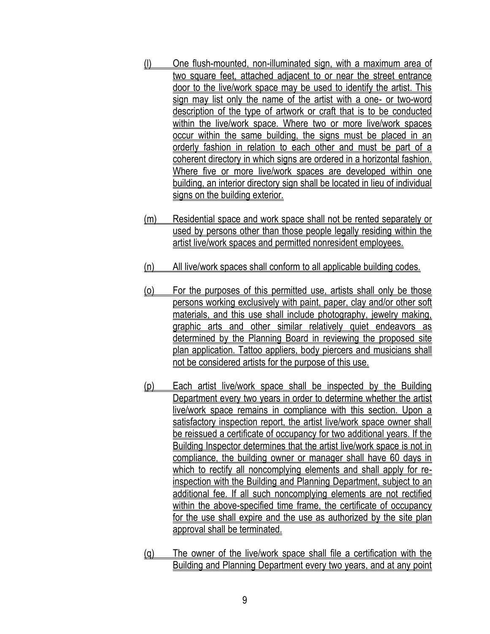- [\(l\)](http://www.ecode360.com/7066523#7066523) One flush-mounted, non-illuminated sign, with a maximum area of two square feet, attached adjacent to or near the street entrance door to the live/work space may be used to identify the artist. This sign may list only the name of the artist with a one- or two-word description of the type of artwork or craft that is to be conducted within the live/work space. Where two or more live/work spaces occur within the same building, the signs must be placed in an orderly fashion in relation to each other and must be part of a coherent directory in which signs are ordered in a horizontal fashion. Where five or more live/work spaces are developed within one building, an interior directory sign shall be located in lieu of individual signs on the building exterior.
- (m) Residential space and work space shall not be rented separately or used by persons other than those people legally residing within the artist live/work spaces and permitted nonresident employees.
- [\(n\)](http://www.ecode360.com/7066526#7066526) All live/work spaces shall conform to all applicable building codes.
- [\(o\)](http://www.ecode360.com/7066527#7066527) For the purposes of this permitted use, artists shall only be those persons working exclusively with paint, paper, clay and/or other soft materials, and this use shall include photography, jewelry making, graphic arts and other similar relatively quiet endeavors as determined by the Planning Board in reviewing the proposed site plan application. Tattoo appliers, body piercers and musicians shall not be considered artists for the purpose of this use.
- [\(p\)](http://www.ecode360.com/7066528#7066528) Each artist live/work space shall be inspected by the Building Department every two years in order to determine whether the artist live/work space remains in compliance with this section. Upon a satisfactory inspection report, the artist live/work space owner shall be reissued a certificate of occupancy for two additional years. If the Building Inspector determines that the artist live/work space is not in compliance, the building owner or manager shall have 60 days in which to rectify all noncomplying elements and shall apply for reinspection with the Building and Planning Department, subject to an additional fee. If all such noncomplying elements are not rectified within the above-specified time frame, the certificate of occupancy for the use shall expire and the use as authorized by the site plan approval shall be terminated.
- [\(q\)](http://www.ecode360.com/27287704#27287704) The owner of the live/work space shall file a certification with the Building and Planning Department every two years, and at any point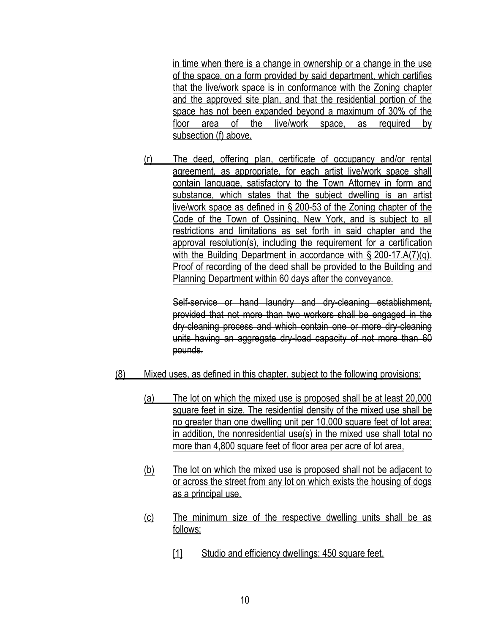in time when there is a change in ownership or a change in the use of the space, on a form provided by said department, which certifies that the live/work space is in conformance with the Zoning chapter and the approved site plan, and that the residential portion of the space has not been expanded beyond a maximum of 30% of the floor area of the live/work space, as required by subsection (f) above.

[\(r\)](http://www.ecode360.com/27287705#27287705) The deed, offering plan, certificate of occupancy and/or rental agreement, as appropriate, for each artist live/work space shall contain language, satisfactory to the Town Attorney in form and substance, which states that the subject dwelling is an artist live/work space as defined in § [200-53](http://www.ecode360.com/7067091#7067091) of the Zoning chapter of the Code of the Town of Ossining, New York, and is subject to all restrictions and limitations as set forth in said chapter and the approval resolution(s), including the requirement for a certification with the Building Department in accordance with § [200-17.A\(7\)\(q\).](http://www.ecode360.com/27287704#27287704) Proof of recording of the deed shall be provided to the Building and Planning Department within 60 days after the conveyance.

Self-service or hand laundry and dry-cleaning establishment, provided that not more than two workers shall be engaged in the dry-cleaning process and which contain one or more dry-cleaning units having an aggregate dry-load capacity of not more than 60 pounds.

- (8) Mixed uses, as defined in this chapter, subject to the following provisions:
	- (a) The lot on which the mixed use is proposed shall be at least 20,000 square feet in size. The residential density of the mixed use shall be no greater than one dwelling unit per 10,000 square feet of lot area; in addition, the nonresidential use(s) in the mixed use shall total no more than 4,800 square feet of floor area per acre of lot area,
	- (b) The lot on which the mixed use is proposed shall not be adjacent to or across the street from any lot on which exists the housing of dogs as a principal use.
	- (c) The minimum size of the respective dwelling units shall be as follows:
		- [1] Studio and efficiency dwellings: 450 square feet.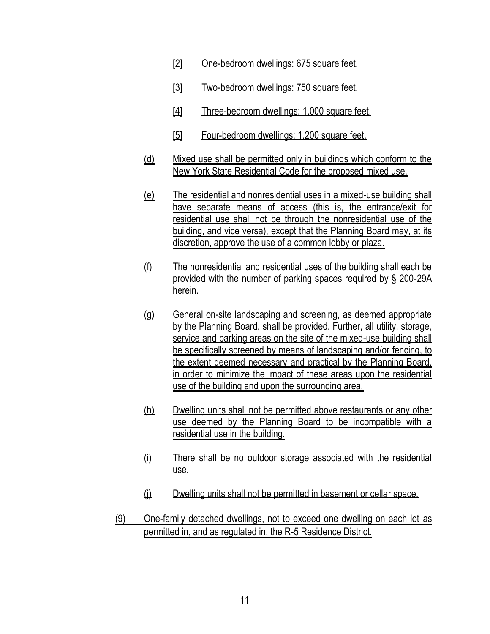- [2] One-bedroom dwellings: 675 square feet.
- [3] Two-bedroom dwellings: 750 square feet.
- [4] Three-bedroom dwellings: 1,000 square feet.
- [5] Four-bedroom dwellings: 1,200 square feet.
- (d) Mixed use shall be permitted only in buildings which conform to the New York State Residential Code for the proposed mixed use.
- (e) The residential and nonresidential uses in a mixed-use building shall have separate means of access (this is, the entrance/exit for residential use shall not be through the nonresidential use of the building, and vice versa), except that the Planning Board may, at its discretion, approve the use of a common lobby or plaza.
- (f) The nonresidential and residential uses of the building shall each be provided with the number of parking spaces required by § 200-29A herein.
- (g) General on-site landscaping and screening, as deemed appropriate by the Planning Board, shall be provided. Further, all utility, storage, service and parking areas on the site of the mixed-use building shall be specifically screened by means of landscaping and/or fencing, to the extent deemed necessary and practical by the Planning Board, in order to minimize the impact of these areas upon the residential use of the building and upon the surrounding area.
- (h) Dwelling units shall not be permitted above restaurants or any other use deemed by the Planning Board to be incompatible with a residential use in the building.
- (i) There shall be no outdoor storage associated with the residential use.
- (i) Dwelling units shall not be permitted in basement or cellar space.
- (9) One-family detached dwellings, not to exceed one dwelling on each lot as permitted in, and as regulated in, the R-5 Residence District.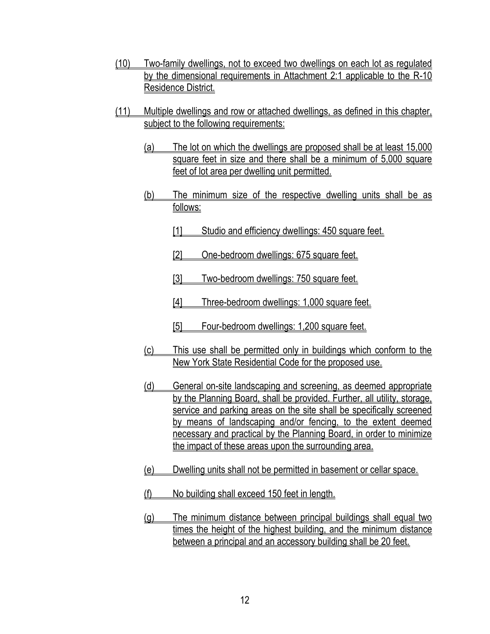- (10) Two-family dwellings, not to exceed two dwellings on each lot as regulated by the dimensional requirements in Attachment 2:1 applicable to the R-10 Residence District.
- (11) Multiple dwellings and row or attached dwellings, as defined in this chapter, subject to the following requirements:
	- (a) The lot on which the dwellings are proposed shall be at least 15,000 square feet in size and there shall be a minimum of 5,000 square feet of lot area per dwelling unit permitted.
	- (b) The minimum size of the respective dwelling units shall be as follows:
		- [1] Studio and efficiency dwellings: 450 square feet.
		- [2] One-bedroom dwellings: 675 square feet.
		- [3] Two-bedroom dwellings: 750 square feet.
		- [4] Three-bedroom dwellings: 1,000 square feet.
		- [5] Four-bedroom dwellings: 1,200 square feet.
	- (c) This use shall be permitted only in buildings which conform to the New York State Residential Code for the proposed use.
	- (d) General on-site landscaping and screening, as deemed appropriate by the Planning Board, shall be provided. Further, all utility, storage, service and parking areas on the site shall be specifically screened by means of landscaping and/or fencing, to the extent deemed necessary and practical by the Planning Board, in order to minimize the impact of these areas upon the surrounding area.
	- (e) Dwelling units shall not be permitted in basement or cellar space.
	- (f) No building shall exceed 150 feet in length.
	- (g) The minimum distance between principal buildings shall equal two times the height of the highest building, and the minimum distance between a principal and an accessory building shall be 20 feet.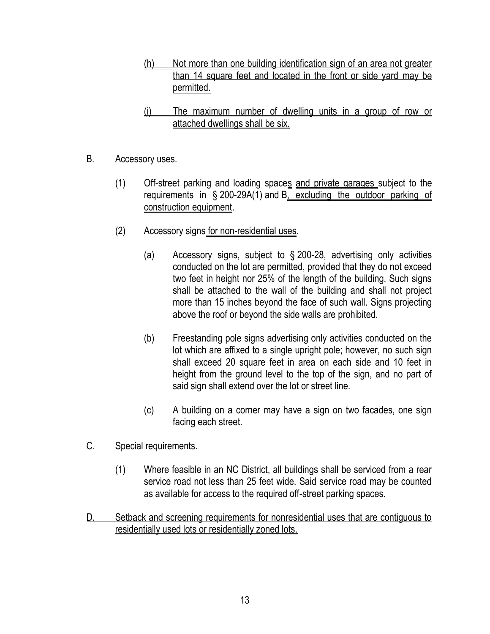- (h) Not more than one building identification sign of an area not greater than 14 square feet and located in the front or side yard may be permitted.
- (i) The maximum number of dwelling units in a group of row or attached dwellings shall be six.
- B. Accessory uses.
	- (1) Off-street parking and loading spaces and private garages subject to the requirements in § [200-29A\(1\)](http://www.ecode360.com/8411069#8411069) and [B,](http://www.ecode360.com/8411083#8411083) excluding the outdoor parking of construction equipment.
	- (2) Accessory signs for non-residential uses.
		- (a) Accessory signs, subject to § [200-28,](http://www.ecode360.com/8411058#8411058) advertising only activities conducted on the lot are permitted, provided that they do not exceed two feet in height nor 25% of the length of the building. Such signs shall be attached to the wall of the building and shall not project more than 15 inches beyond the face of such wall. Signs projecting above the roof or beyond the side walls are prohibited.
		- (b) Freestanding pole signs advertising only activities conducted on the lot which are affixed to a single upright pole; however, no such sign shall exceed 20 square feet in area on each side and 10 feet in height from the ground level to the top of the sign, and no part of said sign shall extend over the lot or street line.
		- (c) A building on a corner may have a sign on two facades, one sign facing each street.
- [C.](http://www.ecode360.com/8410793#8410793) Special requirements.
	- (1) Where feasible in an NC District, all buildings shall be serviced from a rear service road not less than 25 feet wide. Said service road may be counted as available for access to the required off-street parking spaces.
- D. Setback and screening requirements for nonresidential uses that are contiguous to residentially used lots or residentially zoned lots.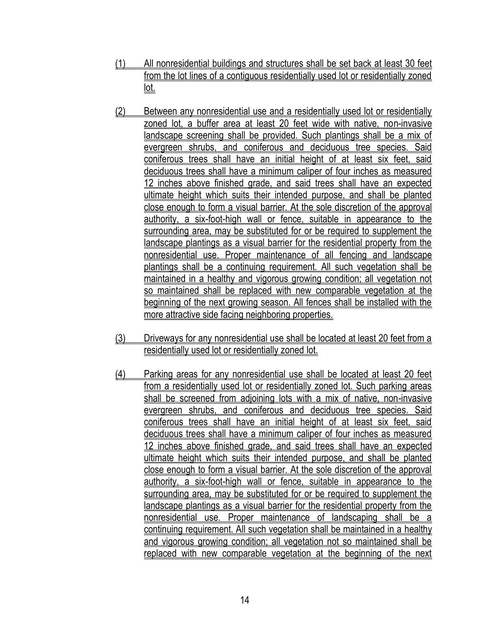- (1) All nonresidential buildings and structures shall be set back at least 30 feet from the lot lines of a contiguous residentially used lot or residentially zoned lot.
- (2) Between any nonresidential use and a residentially used lot or residentially zoned lot, a buffer area at least 20 feet wide with native, non-invasive landscape screening shall be provided. Such plantings shall be a mix of evergreen shrubs, and coniferous and deciduous tree species. Said coniferous trees shall have an initial height of at least six feet, said deciduous trees shall have a minimum caliper of four inches as measured 12 inches above finished grade, and said trees shall have an expected ultimate height which suits their intended purpose, and shall be planted close enough to form a visual barrier. At the sole discretion of the approval authority, a six-foot-high wall or fence, suitable in appearance to the surrounding area, may be substituted for or be required to supplement the landscape plantings as a visual barrier for the residential property from the nonresidential use. Proper maintenance of all fencing and landscape plantings shall be a continuing requirement. All such vegetation shall be maintained in a healthy and vigorous growing condition; all vegetation not so maintained shall be replaced with new comparable vegetation at the beginning of the next growing season. All fences shall be installed with the more attractive side facing neighboring properties.
- (3) Driveways for any nonresidential use shall be located at least 20 feet from a residentially used lot or residentially zoned lot.
- (4) Parking areas for any nonresidential use shall be located at least 20 feet from a residentially used lot or residentially zoned lot. Such parking areas shall be screened from adjoining lots with a mix of native, non-invasive evergreen shrubs, and coniferous and deciduous tree species. Said coniferous trees shall have an initial height of at least six feet, said deciduous trees shall have a minimum caliper of four inches as measured 12 inches above finished grade, and said trees shall have an expected ultimate height which suits their intended purpose, and shall be planted close enough to form a visual barrier. At the sole discretion of the approval authority, a six-foot-high wall or fence, suitable in appearance to the surrounding area, may be substituted for or be required to supplement the landscape plantings as a visual barrier for the residential property from the nonresidential use. Proper maintenance of landscaping shall be a continuing requirement. All such vegetation shall be maintained in a healthy and vigorous growing condition; all vegetation not so maintained shall be replaced with new comparable vegetation at the beginning of the next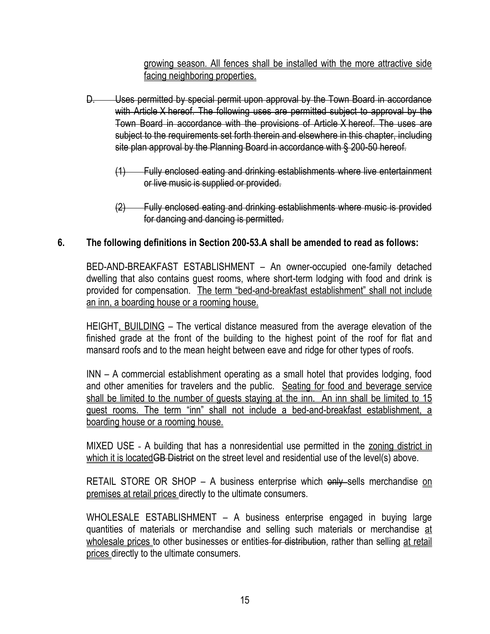growing season. All fences shall be installed with the more attractive side facing neighboring properties.

- D. Uses permitted by special permit upon approval by the Town Board in accordance with Article X hereof. The following uses are permitted subject to approval by the Town Board in accordance with the provisions of Article X hereof. The uses are subject to the requirements set forth therein and elsewhere in this chapter, including site plan approval by the Planning Board in accordance with § 200-50 hereof.
	- (1) Fully enclosed eating and drinking establishments where live entertainment or live music is supplied or provided.
	- (2) Fully enclosed eating and drinking establishments where music is provided for dancing and dancing is permitted.

# **6. The following definitions in Section 200-53.A shall be amended to read as follows:**

BED-AND-BREAKFAST ESTABLISHMENT – An owner-occupied one-family detached dwelling that also contains guest rooms, where short-term lodging with food and drink is provided for compensation. The term "bed-and-breakfast establishment" shall not include an inn, a boarding house or a rooming house.

HEIGHT, BUILDING – The vertical distance measured from the average elevation of the finished grade at the front of the building to the highest point of the roof for flat and mansard roofs and to the mean height between eave and ridge for other types of roofs.

INN – A commercial establishment operating as a small hotel that provides lodging, food and other amenities for travelers and the public. Seating for food and beverage service shall be limited to the number of guests staying at the inn. An inn shall be limited to 15 guest rooms. The term "inn" shall not include a bed-and-breakfast establishment, a boarding house or a rooming house.

[MIXED USE](http://www.ecode360.com/8411496#8411496) - A building that has a nonresidential use permitted in the zoning district in which it is located<del>GB District</del> on the street level and residential use of the level(s) above.

RETAIL STORE OR SHOP – A business enterprise which only sells merchandise on premises at retail prices directly to the ultimate consumers.

WHOLESALE ESTABLISHMENT – A business enterprise engaged in buying large quantities of materials or merchandise and selling such materials or merchandise at wholesale prices to other businesses or entities for distribution, rather than selling at retail prices directly to the ultimate consumers.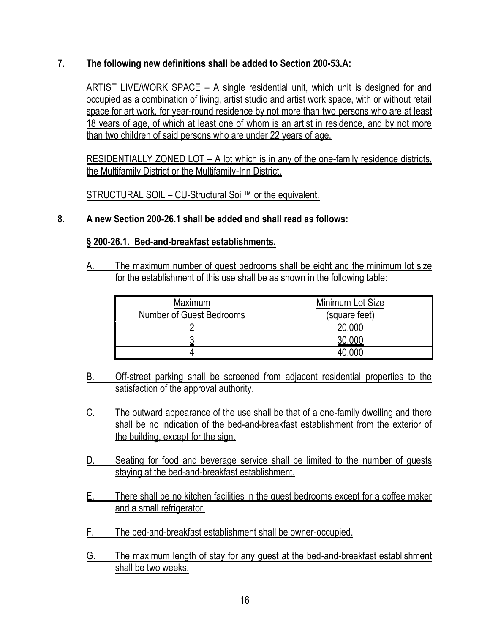**7. The following new definitions shall be added to Section 200-53.A:**

[ARTIST LIVE/WORK SPACE](http://www.ecode360.com/7067099#7067099) – A single residential unit, which unit is designed for and occupied as a combination of living, artist studio and artist work space, with or without retail space for art work, for year-round residence by not more than two persons who are at least 18 years of age, of which at least one of whom is an artist in residence, and by not more than two children of said persons who are under 22 years of age.

RESIDENTIALLY ZONED LOT – A lot which is in any of the one-family residence districts, the Multifamily District or the Multifamily-Inn District.

STRUCTURAL SOIL – CU-Structural Soil™ or the equivalent.

### **8. A new Section 200-26.1 shall be added and shall read as follows:**

#### **§ 200-26.1. Bed-and-breakfast establishments.**

[A.](http://www.ecode360.com/7066536#7066537#7066537) The maximum number of guest bedrooms shall be eight and the minimum lot size for the establishment of this use shall be as shown in the following table:

| Maximum                         | Minimum Lot Size |  |
|---------------------------------|------------------|--|
| <b>Number of Guest Bedrooms</b> | (square feet)    |  |
|                                 |                  |  |
|                                 |                  |  |
|                                 |                  |  |

- [B.](http://www.ecode360.com/7066536#7066538#7066538) Off-street parking shall be screened from adjacent residential properties to the satisfaction of the approval authority.
- [C.](http://www.ecode360.com/7066536#7066539#7066539) The outward appearance of the use shall be that of a one-family dwelling and there shall be no indication of the bed-and-breakfast establishment from the exterior of the building, except for the sign.
- [D.](http://www.ecode360.com/7066536#7066540#7066540) Seating for food and beverage service shall be limited to the number of quests staying at the bed-and-breakfast establishment.
- E. There shall be no kitchen facilities in the guest bedrooms except for a coffee maker and a small refrigerator.
- F. The bed-and-breakfast establishment shall be owner-occupied.
- G. The maximum length of stay for any guest at the bed-and-breakfast establishment shall be two weeks.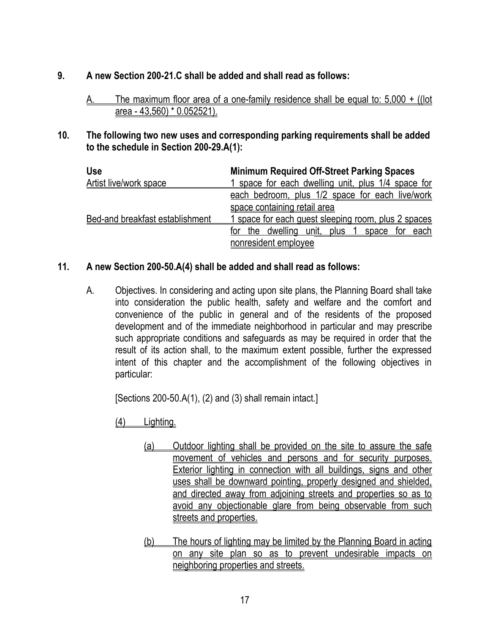### **9. A new Section 200-21.C shall be added and shall read as follows:**

- A. The maximum floor area of a one-family residence shall be equal to: 5,000 + ((lot area - 43,560) \* 0.052521).
- **10. The following two new uses and corresponding parking requirements shall be added to the schedule in Section 200-29.A(1):**

| <b>Use</b>                             | <b>Minimum Required Off-Street Parking Spaces</b>                |
|----------------------------------------|------------------------------------------------------------------|
| <b>Artist live/work space</b>          | 1 space for each dwelling unit, plus 1/4 space for               |
|                                        | each bedroom, plus 1/2 space for each live/work                  |
|                                        | space containing retail area                                     |
| <b>Bed-and breakfast establishment</b> | 1 space for each quest sleeping room, plus 2 spaces              |
|                                        | the dwelling unit,<br>plus<br><u>each</u><br>for<br>space<br>for |
|                                        | nonresident employee                                             |

# **11. A new Section 200-50.A(4) shall be added and shall read as follows:**

A. Objectives. In considering and acting upon site plans, the Planning Board shall take into consideration the public health, safety and welfare and the comfort and convenience of the public in general and of the residents of the proposed development and of the immediate neighborhood in particular and may prescribe such appropriate conditions and safeguards as may be required in order that the result of its action shall, to the maximum extent possible, further the expressed intent of this chapter and the accomplishment of the following objectives in particular:

[Sections 200-50.A(1), (2) and (3) shall remain intact.]

(4) Lighting.

- (a) Outdoor lighting shall be provided on the site to assure the safe movement of vehicles and persons and for security purposes. Exterior lighting in connection with all buildings, signs and other uses shall be downward pointing, properly designed and shielded, and directed away from adjoining streets and properties so as to avoid any objectionable glare from being observable from such streets and properties.
- (b) The hours of lighting may be limited by the Planning Board in acting on any site plan so as to prevent undesirable impacts on neighboring properties and streets.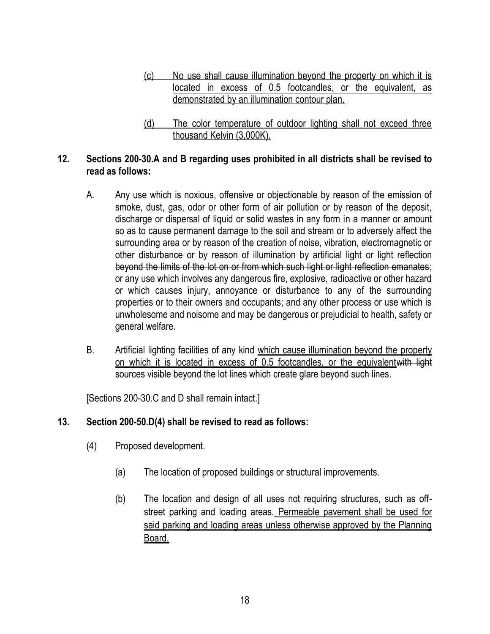- (c) No use shall cause illumination beyond the property on which it is located in excess of 0.5 footcandles, or the equivalent, as demonstrated by an illumination contour plan.
- (d) The color temperature of outdoor lighting shall not exceed three thousand Kelvin (3,000K).

### **12. Sections 200-30.A and B regarding uses prohibited in all districts shall be revised to read as follows:**

- A. Any use which is noxious, offensive or objectionable by reason of the emission of smoke, dust, gas, odor or other form of air pollution or by reason of the deposit, discharge or dispersal of liquid or solid wastes in any form in a manner or amount so as to cause permanent damage to the soil and stream or to adversely affect the surrounding area or by reason of the creation of noise, vibration, electromagnetic or other disturbance or by reason of illumination by artificial light or light reflection beyond the limits of the lot on or from which such light or light reflection emanates; or any use which involves any dangerous fire, explosive, radioactive or other hazard or which causes injury, annoyance or disturbance to any of the surrounding properties or to their owners and occupants; and any other process or use which is unwholesome and noisome and may be dangerous or prejudicial to health, safety or general welfare.
- B. Artificial lighting facilities of any kind which cause illumination beyond the property on which it is located in excess of 0.5 footcandles, or the equivalentwith light sources visible beyond the lot lines which create glare beyond such lines.

[Sections 200-30.C and D shall remain intact.]

# **13. Section 200-50.D(4) shall be revised to read as follows:**

- [\(4\)](http://www.ecode360.com/8411397#8411397) Proposed development.
	- [\(a\)](http://www.ecode360.com/8411398#8411398) The location of proposed buildings or structural improvements.
	- [\(b\)](http://www.ecode360.com/8411399#8411399) The location and design of all uses not requiring structures, such as offstreet parking and loading areas. Permeable pavement shall be used for said parking and loading areas unless otherwise approved by the Planning Board.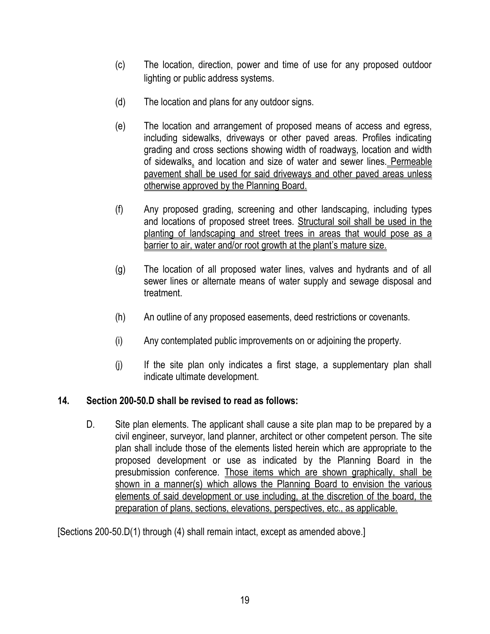- [\(c\)](http://www.ecode360.com/8411400#8411400) The location, direction, power and time of use for any proposed outdoor lighting or public address systems.
- [\(d\)](http://www.ecode360.com/8411401#8411401) The location and plans for any outdoor signs.
- [\(e\)](http://www.ecode360.com/8411402#8411402) The location and arrangement of proposed means of access and egress, including sidewalks, driveways or other paved areas. Profiles indicating grading and cross sections showing width of roadways, location and width of sidewalks, and location and size of water and sewer lines. Permeable pavement shall be used for said driveways and other paved areas unless otherwise approved by the Planning Board.
- [\(f\)](http://www.ecode360.com/8411403#8411403) Any proposed grading, screening and other landscaping, including types and locations of proposed street trees. Structural soil shall be used in the planting of landscaping and street trees in areas that would pose as a barrier to air, water and/or root growth at the plant's mature size.
- [\(g\)](http://www.ecode360.com/8411404#8411404) The location of all proposed water lines, valves and hydrants and of all sewer lines or alternate means of water supply and sewage disposal and treatment.
- [\(h\)](http://www.ecode360.com/8411405#8411405) An outline of any proposed easements, deed restrictions or covenants.
- [\(i\)](http://www.ecode360.com/8411406#8411406) Any contemplated public improvements on or adjoining the property.
- [\(j\)](http://www.ecode360.com/8411407#8411407) If the site plan only indicates a first stage, a supplementary plan shall indicate ultimate development.

#### **14. Section 200-50.D shall be revised to read as follows:**

[D.](http://ecode360.com/8411376#8411376) Site plan elements. The applicant shall cause a site plan map to be prepared by a civil engineer, surveyor, land planner, architect or other competent person. The site plan shall include those of the elements listed herein which are appropriate to the proposed development or use as indicated by the Planning Board in the presubmission conference. Those items which are shown graphically, shall be shown in a manner(s) which allows the Planning Board to envision the various elements of said development or use including, at the discretion of the board, the preparation of plans, sections, elevations, perspectives, etc., as applicable.

[Sections 200-50.D(1) through (4) shall remain intact, except as amended above.]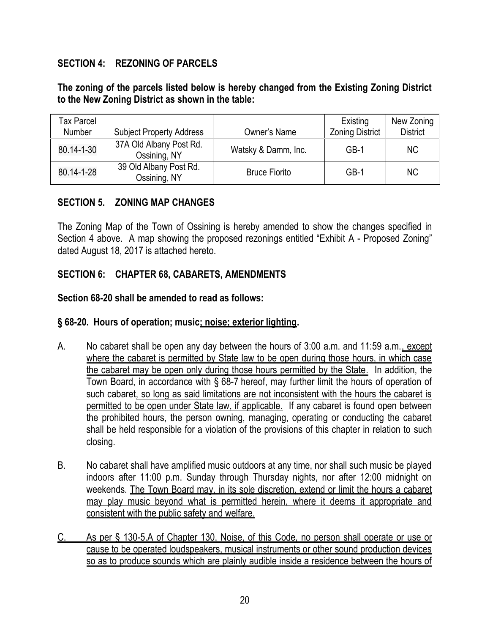### **SECTION 4: REZONING OF PARCELS**

### **The zoning of the parcels listed below is hereby changed from the Existing Zoning District to the New Zoning District as shown in the table:**

| <b>Tax Parcel</b><br>Number | <b>Subject Property Address</b>         | Owner's Name         | Existing<br><b>Zoning District</b> | New Zoning<br><b>District</b> |
|-----------------------------|-----------------------------------------|----------------------|------------------------------------|-------------------------------|
| 80.14-1-30                  | 37A Old Albany Post Rd.<br>Ossining, NY | Watsky & Damm, Inc.  | GB-1                               | NC.                           |
| 80.14-1-28                  | 39 Old Albany Post Rd.<br>Ossining, NY  | <b>Bruce Fiorito</b> | GB-1                               | NC.                           |

#### **SECTION 5. ZONING MAP CHANGES**

The Zoning Map of the Town of Ossining is hereby amended to show the changes specified in Section 4 above. A map showing the proposed rezonings entitled "Exhibit A - Proposed Zoning" dated August 18, 2017 is attached hereto.

### **SECTION 6: CHAPTER 68, CABARETS, AMENDMENTS**

#### **Section 68-20 shall be amended to read as follows:**

#### **§ [68-20. Hours of operation; music; noise; exterior lighting.](http://www.ecode360.com/8407399#8407452)**

- A. No cabaret shall be open any day between the hours of 3:00 a.m. and 11:59 a.m., except where the cabaret is permitted by State law to be open during those hours, in which case the cabaret may be open only during those hours permitted by the State. In addition, the Town Board, in accordance with § [68-7](http://www.ecode360.com/8407415#8407415) hereof, may further limit the hours of operation of such cabaret, so long as said limitations are not inconsistent with the hours the cabaret is permitted to be open under State law, if applicable. If any cabaret is found open between the prohibited hours, the person owning, managing, operating or conducting the cabaret shall be held responsible for a violation of the provisions of this chapter in relation to such closing.
- B. No cabaret shall have amplified music outdoors at any time, nor shall such music be played indoors after 11:00 p.m. Sunday through Thursday nights, nor after 12:00 midnight on weekends. The Town Board may, in its sole discretion, extend or limit the hours a cabaret may play music beyond what is permitted herein, where it deems it appropriate and consistent with the public safety and welfare.
- C. As per § 130-5.A of Chapter 130, Noise, of this Code, no person shall operate or use or cause to be operated loudspeakers, musical instruments or other sound production devices so as to produce sounds which are plainly audible inside a residence between the hours of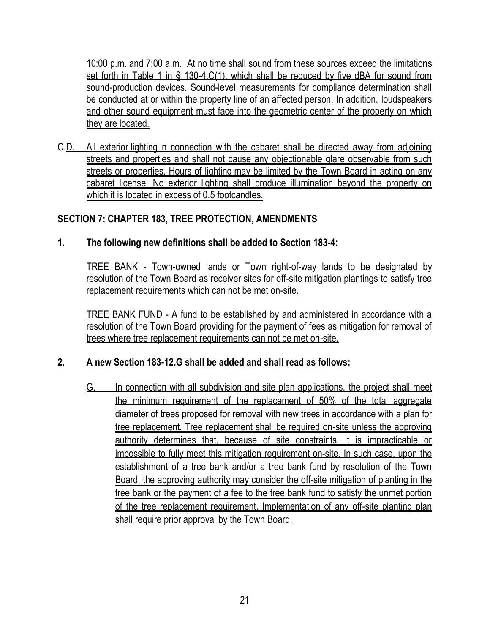10:00 p.m. and 7:00 a.m. At no time shall sound from these sources exceed the limitations set forth in Table 1 in § 130-4.C(1), which shall be reduced by five dBA for sound from sound-production devices. Sound-level measurements for compliance determination shall be conducted at or within the property line of an affected person. In addition, loudspeakers and other sound equipment must face into the geometric center of the property on which they are located.

C.D. All exterior lighting in connection with the cabaret shall be directed away from adjoining streets and properties and shall not cause any objectionable glare observable from such streets or properties. Hours of lighting may be limited by the Town Board in acting on any cabaret license. No exterior lighting shall produce illumination beyond the property on which it is located in excess of 0.5 footcandles.

# **SECTION 7: CHAPTER 183, TREE PROTECTION, AMENDMENTS**

# **1. The following new definitions shall be added to Section 183-4:**

[TREE BANK](http://ecode360.com/14989372#14989372) - Town-owned lands or Town right-of-way lands to be designated by resolution of the Town Board as receiver sites for off-site mitigation plantings to satisfy tree replacement requirements which can not be met on-site.

[TREE BANK FUND](http://ecode360.com/14989373#14989373) - A fund to be established by and administered in accordance with a resolution of the Town Board providing for the payment of fees as mitigation for removal of trees where tree replacement requirements can not be met on-site.

# **2. A new Section 183-12.G shall be added and shall read as follows:**

G. In connection with all subdivision and site plan applications, the project shall meet the minimum requirement of the replacement of 50% of the total aggregate diameter of trees proposed for removal with new trees in accordance with a plan for tree replacement. Tree replacement shall be required on-site unless the approving authority determines that, because of site constraints, it is impracticable or impossible to fully meet this mitigation requirement on-site. In such case, upon the establishment of a tree bank and/or a tree bank fund by resolution of the Town Board, the approving authority may consider the off-site mitigation of planting in the tree bank or the payment of a fee to the tree bank fund to satisfy the unmet portion of the tree replacement requirement. Implementation of any off-site planting plan shall require prior approval by the Town Board.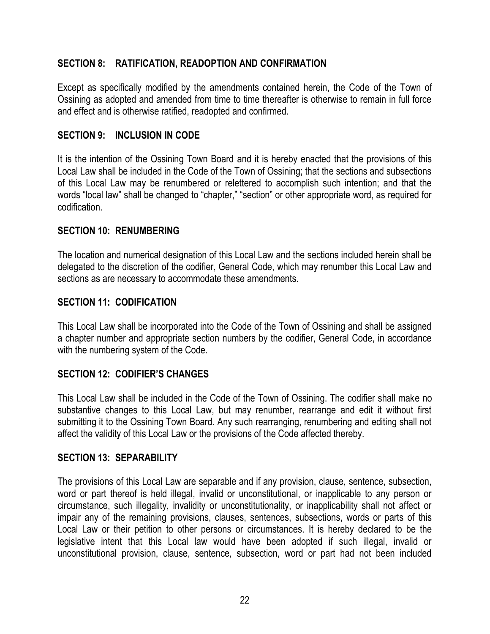# **SECTION 8: RATIFICATION, READOPTION AND CONFIRMATION**

Except as specifically modified by the amendments contained herein, the Code of the Town of Ossining as adopted and amended from time to time thereafter is otherwise to remain in full force and effect and is otherwise ratified, readopted and confirmed.

# **SECTION 9: INCLUSION IN CODE**

It is the intention of the Ossining Town Board and it is hereby enacted that the provisions of this Local Law shall be included in the Code of the Town of Ossining; that the sections and subsections of this Local Law may be renumbered or relettered to accomplish such intention; and that the words "local law" shall be changed to "chapter," "section" or other appropriate word, as required for codification.

# **SECTION 10: RENUMBERING**

The location and numerical designation of this Local Law and the sections included herein shall be delegated to the discretion of the codifier, General Code, which may renumber this Local Law and sections as are necessary to accommodate these amendments.

# **SECTION 11: CODIFICATION**

This Local Law shall be incorporated into the Code of the Town of Ossining and shall be assigned a chapter number and appropriate section numbers by the codifier, General Code, in accordance with the numbering system of the Code.

# **SECTION 12: CODIFIER'S CHANGES**

This Local Law shall be included in the Code of the Town of Ossining. The codifier shall make no substantive changes to this Local Law, but may renumber, rearrange and edit it without first submitting it to the Ossining Town Board. Any such rearranging, renumbering and editing shall not affect the validity of this Local Law or the provisions of the Code affected thereby.

#### **SECTION 13: SEPARABILITY**

The provisions of this Local Law are separable and if any provision, clause, sentence, subsection, word or part thereof is held illegal, invalid or unconstitutional, or inapplicable to any person or circumstance, such illegality, invalidity or unconstitutionality, or inapplicability shall not affect or impair any of the remaining provisions, clauses, sentences, subsections, words or parts of this Local Law or their petition to other persons or circumstances. It is hereby declared to be the legislative intent that this Local law would have been adopted if such illegal, invalid or unconstitutional provision, clause, sentence, subsection, word or part had not been included